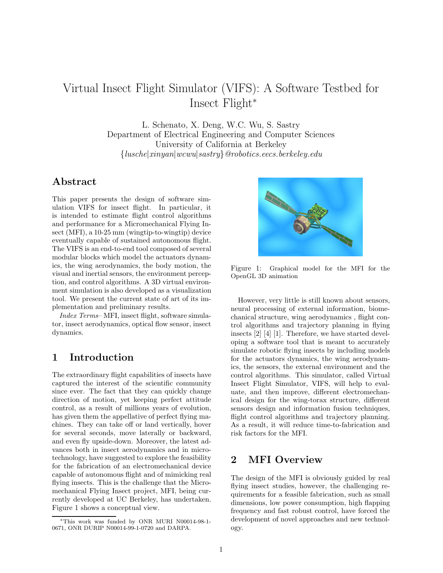# Virtual Insect Flight Simulator (VIFS): A Software Testbed for Insect Flight<sup>\*</sup>

L. Schenato, X. Deng, W.C. Wu, S. Sastry Department of Electrical Engineering and Computer Sciences University of California at Berkeley {lusche|xinyan|wcwu|sastry}@robotics.eecs.berkeley.edu

### Abstract

This paper presents the design of software simulation VIFS for insect flight. In particular, it is intended to estimate flight control algorithms and performance for a Micromechanical Flying Insect (MFI), a 10-25 mm (wingtip-to-wingtip) device eventually capable of sustained autonomous flight. The VIFS is an end-to-end tool composed of several modular blocks which model the actuators dynamics, the wing aerodynamics, the body motion, the visual and inertial sensors, the environment perception, and control algorithms. A 3D virtual environment simulation is also developed as a visualization tool. We present the current state of art of its implementation and preliminary results.

Index Terms– MFI, insect flight, software simulator, insect aerodynamics, optical flow sensor, insect dynamics.

# 1 Introduction

The extraordinary flight capabilities of insects have captured the interest of the scientific community since ever. The fact that they can quickly change direction of motion, yet keeping perfect attitude control, as a result of millions years of evolution, has given them the appellative of perfect flying machines. They can take off or land vertically, hover for several seconds, move laterally or backward, and even fly upside-down. Moreover, the latest advances both in insect aerodynamics and in microtechnology, have suggested to explore the feasibility for the fabrication of an electromechanical device capable of autonomous flight and of mimicking real flying insects. This is the challenge that the Micromechanical Flying Insect project, MFI, being currently developed at UC Berkeley, has undertaken. Figure 1 shows a conceptual view.



Figure 1: Graphical model for the MFI for the OpenGL 3D animation

However, very little is still known about sensors, neural processing of external information, biomechanical structure, wing aerodynamics , flight control algorithms and trajectory planning in flying insects [2] [4] [1]. Therefore, we have started developing a software tool that is meant to accurately simulate robotic flying insects by including models for the actuators dynamics, the wing aerodynamics, the sensors, the external environment and the control algorithms. This simulator, called Virtual Insect Flight Simulator, VIFS, will help to evaluate, and then improve, different electromechanical design for the wing-torax structure, different sensors design and information fusion techniques, flight control algorithms and trajectory planning. As a result, it will reduce time-to-fabrication and risk factors for the MFI.

## 2 MFI Overview

The design of the MFI is obviously guided by real flying insect studies, however, the challenging requirements for a feasible fabrication, such as small dimensions, low power consumption, high flapping frequency and fast robust control, have forced the development of novel approaches and new technology.

<sup>∗</sup>This work was funded by ONR MURI N00014-98-1- 0671, ONR DURIP N00014-99-1-0720 and DARPA.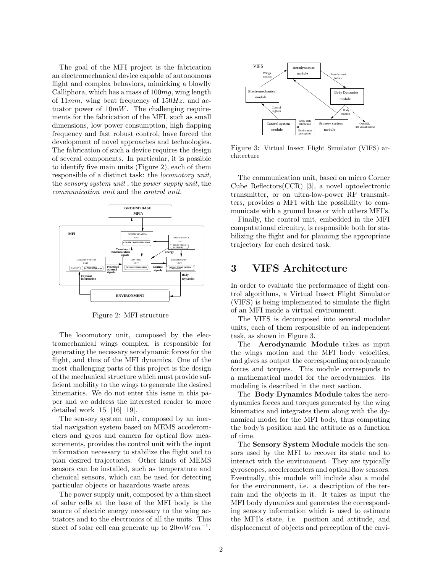The goal of the MFI project is the fabrication an electromechanical device capable of autonomous flight and complex behaviors, mimicking a blowfly Calliphora, which has a mass of  $100mg$ , wing length of  $11mm$ , wing beat frequency of  $150Hz$ , and actuator power of  $10mW$ . The challenging requirements for the fabrication of the MFI, such as small dimensions, low power consumption, high flapping frequency and fast robust control, have forced the development of novel approaches and technologies. The fabrication of such a device requires the design of several components. In particular, it is possible to identify five main units (Figure 2), each of them responsible of a distinct task: the locomotory unit, the sensory system unit , the power supply unit, the communication unit and the control unit.



Figure 2: MFI structure

The locomotory unit, composed by the electromechanical wings complex, is responsible for generating the necessary aerodynamic forces for the flight, and thus of the MFI dynamics. One of the most challenging parts of this project is the design of the mechanical structure which must provide sufficient mobility to the wings to generate the desired kinematics. We do not enter this issue in this paper and we address the interested reader to more detailed work [15] [16] [19].

The sensory system unit, composed by an inertial navigation system based on MEMS accelerometers and gyros and camera for optical flow measurements, provides the control unit with the input information necessary to stabilize the flight and to plan desired trajectories. Other kinds of MEMS sensors can be installed, such as temperature and chemical sensors, which can be used for detecting particular objects or hazardous waste areas.

The power supply unit, composed by a thin sheet of solar cells at the base of the MFI body is the source of electric energy necessary to the wing actuators and to the electronics of all the units. This sheet of solar cell can generate up to  $20mWcm^{-1}$ .



Figure 3: Virtual Insect Flight Simulator (VIFS) architecture

The communication unit, based on micro Corner Cube Reflectors(CCR) [3], a novel optoelectronic transmitter, or on ultra-low-power RF transmitters, provides a MFI with the possibility to communicate with a ground base or with others MFI's.

Finally, the control unit, embedded in the MFI computational circuitry, is responsible both for stabilizing the flight and for planning the appropriate trajectory for each desired task.

## 3 VIFS Architecture

In order to evaluate the performance of flight control algorithms, a Virtual Insect Flight Simulator (VIFS) is being implemented to simulate the flight of an MFI inside a virtual environment.

The VIFS is decomposed into several modular units, each of them responsible of an independent task, as shown in Figure 3.

The Aerodynamic Module takes as input the wings motion and the MFI body velocities, and gives as output the corresponding aerodynamic forces and torques. This module corresponds to a mathematical model for the aerodynamics. Its modeling is described in the next section.

The Body Dynamics Module takes the aerodynamics forces and torques generated by the wing kinematics and integrates them along with the dynamical model for the MFI body, thus computing the body's position and the attitude as a function of time.

The Sensory System Module models the sensors used by the MFI to recover its state and to interact with the environment. They are typically gyroscopes, accelerometers and optical flow sensors. Eventually, this module will include also a model for the environment, i.e. a description of the terrain and the objects in it. It takes as input the MFI body dynamics and generates the corresponding sensory information which is used to estimate the MFI's state, i.e. position and attitude, and displacement of objects and perception of the envi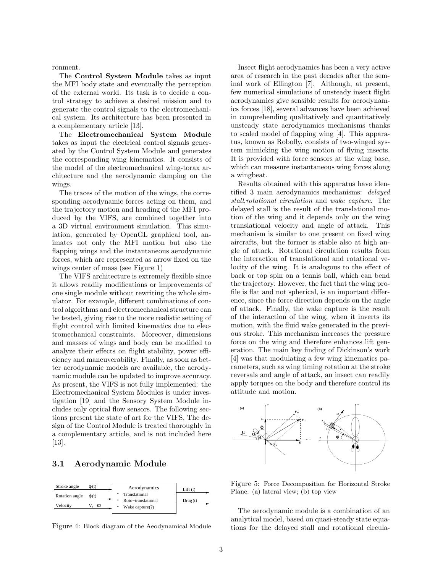ronment.

The Control System Module takes as input the MFI body state and eventually the perception of the external world. Its task is to decide a control strategy to achieve a desired mission and to generate the control signals to the electromechanical system. Its architecture has been presented in a complementary article [13].

The Electromechanical System Module takes as input the electrical control signals generated by the Control System Module and generates the corresponding wing kinematics. It consists of the model of the electromechanical wing-torax architecture and the aerodynamic damping on the wings.

The traces of the motion of the wings, the corresponding aerodynamic forces acting on them, and the trajectory motion and heading of the MFI produced by the VIFS, are combined together into a 3D virtual environment simulation. This simulation, generated by OpenGL graphical tool, animates not only the MFI motion but also the flapping wings and the instantaneous aerodynamic forces, which are represented as arrow fixed on the wings center of mass (see Figure 1)

The VIFS architecture is extremely flexible since it allows readily modifications or improvements of one single module without rewriting the whole simulator. For example, different combinations of control algorithms and electromechanical structure can be tested, giving rise to the more realistic setting of flight control with limited kinematics due to electromechanical constraints. Moreover, dimensions and masses of wings and body can be modified to analyze their effects on flight stability, power efficiency and maneuverability. Finally, as soon as better aerodynamic models are available, the aerodynamic module can be updated to improve accuracy. As present, the VIFS is not fully implemented: the Electromechanical System Modules is under investigation [19] and the Sensory System Module includes only optical flow sensors. The following sections present the state of art for the VIFS. The design of the Control Module is treated thoroughly in a complementary article, and is not included here [13].

#### 3.1 Aerodynamic Module





Insect flight aerodynamics has been a very active area of research in the past decades after the seminal work of Ellington [7]. Although, at present, few numerical simulations of unsteady insect flight aerodynamics give sensible results for aerodynamics forces [18], several advances have been achieved in comprehending qualitatively and quantitatively unsteady state aerodynamics mechanisms thanks to scaled model of flapping wing [4]. This apparatus, known as Robofly, consists of two-winged system mimicking the wing motion of flying insects. It is provided with force sensors at the wing base, which can measure instantaneous wing forces along a wingbeat.

Results obtained with this apparatus have identified 3 main aerodynamics mechanisms: delayed stall,rotational circulation and wake capture. The delayed stall is the result of the translational motion of the wing and it depends only on the wing translational velocity and angle of attack. This mechanism is similar to one present on fixed wing aircrafts, but the former is stable also at high angle of attack. Rotational circulation results from the interaction of translational and rotational velocity of the wing. It is analogous to the effect of back or top spin on a tennis ball, which can bend the trajectory. However, the fact that the wing profile is flat and not spherical, is an important difference, since the force direction depends on the angle of attack. Finally, the wake capture is the result of the interaction of the wing, when it inverts its motion, with the fluid wake generated in the previous stroke. This mechanism increases the pressure force on the wing and therefore enhances lift generation. The main key finding of Dickinson's work [4] was that modulating a few wing kinematics parameters, such as wing timing rotation at the stroke reversals and angle of attack, an insect can readily apply torques on the body and therefore control its attitude and motion.



Figure 5: Force Decomposition for Horizontal Stroke Plane: (a) lateral view; (b) top view

The aerodynamic module is a combination of an analytical model, based on quasi-steady state equations for the delayed stall and rotational circula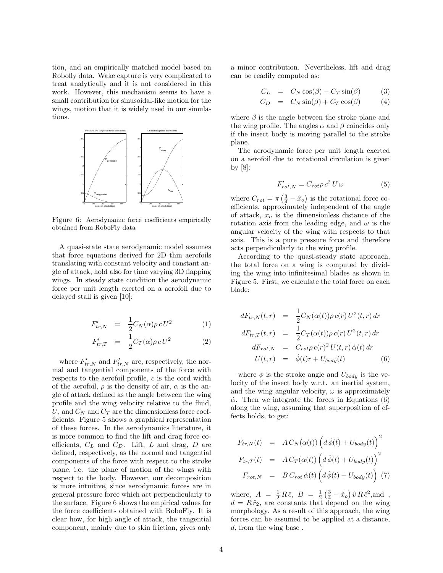tion, and an empirically matched model based on Robofly data. Wake capture is very complicated to treat analytically and it is not considered in this work. However, this mechanism seems to have a small contribution for sinusoidal-like motion for the wings, motion that it is widely used in our simulations.



Figure 6: Aerodynamic force coefficients empirically obtained from RoboFly data

A quasi-state state aerodynamic model assumes that force equations derived for 2D thin aerofoils translating with constant velocity and constant angle of attack, hold also for time varying 3D flapping wings. In steady state condition the aerodynamic force per unit length exerted on a aerofoil due to delayed stall is given [10]:

$$
F'_{tr,N} = \frac{1}{2} C_N(\alpha) \rho c U^2 \qquad (1)
$$

$$
F'_{tr,T} = \frac{1}{2} C_T(\alpha) \rho c U^2 \qquad (2)
$$

where  $F'_{tr,N}$  and  $F'_{tr,N}$  are, respectively, the normal and tangential components of the force with respects to the aerofoil profile, c is the cord width of the aerofoil,  $\rho$  is the density of air,  $\alpha$  is the angle of attack defined as the angle between the wing profile and the wing velocity relative to the fluid, U, and  $C_N$  and  $C_T$  are the dimensionless force coefficients. Figure 5 shows a graphical representation of these forces. In the aerodynamics literature, it is more common to find the lift and drag force coefficients,  $C_L$  and  $C_D$ . Lift,  $L$  and drag,  $D$  are defined, respectively, as the normal and tangential components of the force with respect to the stroke plane, i.e. the plane of motion of the wings with respect to the body. However, our decomposition is more intuitive, since aerodynamic forces are in general pressure force which act perpendicularly to the surface. Figure 6 shows the empirical values for the force coefficients obtained with RoboFly. It is clear how, for high angle of attack, the tangential component, mainly due to skin friction, gives only

a minor contribution. Nevertheless, lift and drag can be readily computed as:

$$
C_L = C_N \cos(\beta) - C_T \sin(\beta) \tag{3}
$$

$$
C_D = C_N \sin(\beta) + C_T \cos(\beta) \tag{4}
$$

where  $\beta$  is the angle between the stroke plane and the wing profile. The angles  $\alpha$  and  $\beta$  coincides only if the insect body is moving parallel to the stroke plane.

The aerodynamic force per unit length exerted on a aerofoil due to rotational circulation is given by  $[8]$ :

$$
F'_{rot,N} = C_{rot}\rho c^2 U \omega \tag{5}
$$

where  $C_{rot} = \pi \left(\frac{3}{4} - \hat{x}_o\right)$  is the rotational force coefficients, approximately independent of the angle of attack,  $x<sub>o</sub>$  is the dimensionless distance of the rotation axis from the leading edge, and  $\omega$  is the angular velocity of the wing with respects to that axis. This is a pure pressure force and therefore acts perpendicularly to the wing profile.

According to the quasi-steady state approach, the total force on a wing is computed by dividing the wing into infinitesimal blades as shown in Figure 5. First, we calculate the total force on each blade:

$$
dF_{tr,N}(t,r) = \frac{1}{2}C_N(\alpha(t))\rho c(r) U^2(t,r) dr
$$
  
\n
$$
dF_{tr,T}(t,r) = \frac{1}{2}C_T(\alpha(t))\rho c(r) U^2(t,r) dr
$$
  
\n
$$
dF_{rot,N} = C_{rot}\rho c(r)^2 U(t,r) \dot{\alpha}(t) dr
$$
  
\n
$$
U(t,r) = \dot{\phi}(t)r + U_{body}(t)
$$
 (6)

where  $\phi$  is the stroke angle and  $U_{body}$  is the velocity of the insect body w.r.t. an inertial system, and the wing angular velocity,  $\omega$  is approximately  $\dot{\alpha}$ . Then we integrate the forces in Equations (6) along the wing, assuming that superposition of effects holds, to get:

$$
F_{tr,N}(t) = AC_N(\alpha(t)) \left( d \dot{\phi}(t) + U_{body}(t) \right)^2
$$
  
\n
$$
F_{tr,T}(t) = AC_T(\alpha(t)) \left( d \dot{\phi}(t) + U_{body}(t) \right)^2
$$
  
\n
$$
F_{rot,N} = BC_{rot} \dot{\alpha}(t) \left( d \dot{\phi}(t) + U_{body}(t) \right) (7)
$$

where,  $A = \frac{1}{2} R \bar{c}$ ,  $B = \frac{1}{2} (\frac{3}{4} - \hat{x}_o) \hat{v} R \bar{c}^2$ , and,  $d = R\hat{r}_2$ , are constants that depend on the wing morphology. As a result of this approach, the wing forces can be assumed to be applied at a distance, d, from the wing base .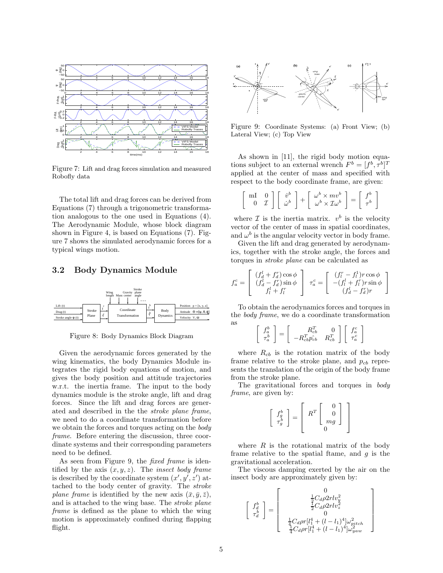

Figure 7: Lift and drag forces simulation and measured Robofly data

The total lift and drag forces can be derived from Equations (7) through a trigonometric transformation analogous to the one used in Equations (4). The Aerodynamic Module, whose block diagram shown in Figure 4, is based on Equations (7). Figure 7 shows the simulated aerodynamic forces for a typical wings motion.

#### 3.2 Body Dynamics Module



Figure 8: Body Dynamics Block Diagram

Given the aerodynamic forces generated by the wing kinematics, the body Dynamics Module integrates the rigid body equations of motion, and gives the body position and attitude trajectories w.r.t. the inertia frame. The input to the body dynamics module is the stroke angle, lift and drag forces. Since the lift and drag forces are generated and described in the the stroke plane frame, we need to do a coordinate transformation before we obtain the forces and torques acting on the body frame. Before entering the discussion, three coordinate systems and their corresponding parameters need to be defined.

As seen from Figure 9, the fixed frame is identified by the axis  $(x, y, z)$ . The *insect body frame* is described by the coordinate system  $(x', y', z')$  attached to the body center of gravity. The stroke *plane frame* is identified by the new axis  $(\bar{x}, \bar{y}, \bar{z})$ , and is attached to the wing base. The stroke plane frame is defined as the plane to which the wing motion is approximately confined during flapping flight.



Figure 9: Coordinate Systems: (a) Front View; (b) Lateral View; (c) Top View

As shown in [11], the rigid body motion equations subject to an external wrench  $F^b = [f^b, \tau^b]^T$ applied at the center of mass and specified with respect to the body coordinate frame, are given:

$$
\left[\begin{array}{cc} \mathbf{mI} & 0 \\ 0 & \mathcal{I} \end{array}\right] \left[\begin{array}{c} \dot{v}^b \\ \dot{\omega}^b \end{array}\right] + \left[\begin{array}{c} \omega^b \times mv^b \\ \omega^b \times \mathcal{I}\omega^b \end{array}\right] = \left[\begin{array}{c} f^b \\ \tau^b \end{array}\right]
$$

where  $\mathcal I$  is the inertia matrix.  $v^b$  is the velocity vector of the center of mass in spatial coordinates, and  $\omega^b$  is the angular velocity vector in body frame.

Given the lift and drag generated by aerodynamics, together with the stroke angle, the forces and torques in stroke plane can be calculated as

$$
f_a^c = \begin{bmatrix} (f_a^l + f_a^r) \cos \phi \\ (f_a^l - f_a^r) \sin \phi \\ f_i^l + f_i^r \end{bmatrix} \tau_a^c = \begin{bmatrix} (f_i^r - f_i^1) r \cos \phi \\ -(f_i^l + f_i^r) r \sin \phi \\ (f_a^l - f_a^r) r \end{bmatrix}
$$

To obtain the aerodynamics forces and torques in the body frame, we do a coordinate transformation as

$$
\left[\begin{array}{c} f_a^b \\ \tau_a^b \end{array}\right] = \left[\begin{array}{cc} R_{cb}^T & 0 \\ -R_{cb}^T p_{cb}^c & R_{cb}^T \end{array}\right] \left[\begin{array}{c} f_a^c \\ \tau_a^c \end{array}\right]
$$

where  $R_{cb}$  is the rotation matrix of the body frame relative to the stroke plane, and  $p_{cb}$  represents the translation of the origin of the body frame from the stroke plane.

The gravitational forces and torques in body frame, are given by:

$$
\left[\begin{array}{c}f_g^b\\ \tau_g^b\end{array}\right]=\left[\begin{array}{c}R^T\left[\begin{array}{c}0\\0\\mg\end{array}\right]\\0\end{array}\right]
$$

where  $R$  is the rotational matrix of the body frame relative to the spatial ftame, and  $q$  is the gravitational acceleration.

The viscous damping exerted by the air on the insect body are approximately given by:

> 1  $\overline{1}$  $\overline{1}$  $\overline{1}$  $\overline{1}$  $\overline{1}$

$$
\begin{bmatrix}\nf_a^b \\
\tau_a^b\n\end{bmatrix} = \begin{bmatrix}\n0 \\
\frac{1}{2}C_d\rho 2rlv_y^2 \\
\frac{1}{2}C_d\rho 2rlv_z^2 \\
0 \\
\frac{1}{4}C_d\rho r[l_1^4 + (l - l_1)^4]\omega_{pitch}^2 \\
\frac{1}{4}C_d\rho r[l_1^4 + (l - l_1)^4]\omega_{yaw}^2\n\end{bmatrix}
$$

f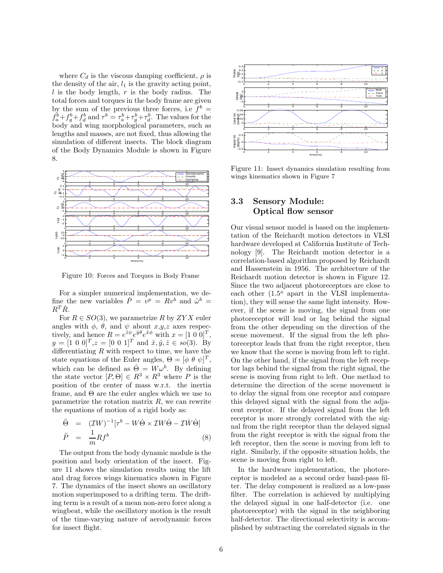where  $C_d$  is the viscous damping coefficient,  $\rho$  is the density of the air,  $l_1$  is the gravity acting point,  $l$  is the body length,  $r$  is the body radius. The total forces and torques in the body frame are given by the sum of the previous three forces, i.e  $f^b =$  $f_a^b + f_g^b + f_d^b$  and  $\tau^b = \tau_a^b + \tau_g^b + \tau_d^b$ . The values for the body and wing morphological parameters, such as lengths and masses, are not fixed, thus allowing the simulation of different insects. The block diagram of the Body Dynamics Module is shown in Figure 8.



Figure 10: Forces and Torques in Body Frame

For a simpler numerical implementation, we define the new variables  $\dot{P} = v^p = Rv^b$  and  $\hat{\omega}^b =$  $R^T \dot{R}$ .

For  $R \in SO(3)$ , we parametrize R by  $ZYX$  euler angles with  $\phi$ ,  $\theta$ , and  $\psi$  about  $x,y,z$  axes respectively, and hence  $R = e^{\hat{z}\psi}e^{\hat{y}\theta}e^{\hat{x}\phi}$  with  $x = \begin{bmatrix} 1 & 0 & 0 \end{bmatrix}^T$ ,  $y = [1 \ 0 \ 0]^T, z = [0 \ 0 \ 1]^T \text{ and } \hat{x}, \hat{y}, \hat{z} \in so(3).$  By differentiating  $R$  with respect to time, we have the state equations of the Euler angles,  $\Theta = [\phi \ \theta \ \psi]^T$ , which can be defined as  $\dot{\Theta} = W \omega^b$ . By defining the state vector  $[P, \Theta] \in R^3 \times R^3$  where P is the position of the center of mass w.r.t. the inertia frame, and Θ are the euler angles which we use to parametrize the rotation matrix  $R$ , we can rewrite the equations of motion of a rigid body as:

$$
\ddot{\Theta} = (TW)^{-1} [\tau^b - W \dot{\Theta} \times \mathcal{I} W \dot{\Theta} - \mathcal{I} \dot{W} \dot{\Theta}] \n\ddot{P} = \frac{1}{m} Rf^b
$$
\n(8)

The output from the body dynamic module is the position and body orientation of the insect. Figure 11 shows the simulation results using the lift and drag forces wings kinematics shown in Figure 7. The dynamics of the insect shows an oscillatory motion superimposed to a drifting term. The drifting term is a result of a mean non-zero force along a wingbeat, while the oscillatory motion is the result of the time-varying nature of aerodynamic forces for insect flight.



Figure 11: Insect dynamics simulation resulting from wings kinematics shown in Figure 7

#### 3.3 Sensory Module: Optical flow sensor

Our visual sensor model is based on the implementation of the Reichardt motion detectors in VLSI hardware developed at California Institute of Technology [9]. The Reichardt motion detector is a correlation-based algorithm proposed by Reichardt and Hassenstein in 1956. The architecture of the Reichardt motion detector is shown in Figure 12. Since the two adjacent photoreceptors are close to each other  $(1.5^{\circ}$  apart in the VLSI implementation), they will sense the same light intensity. However, if the scene is moving, the signal from one photoreceptor will lead or lag behind the signal from the other depending on the direction of the scene movement. If the signal from the left photoreceptor leads that from the right receptor, then we know that the scene is moving from left to right. On the other hand, if the signal from the left receptor lags behind the signal from the right signal, the scene is moving from right to left. One method to determine the direction of the scene movement is to delay the signal from one receptor and compare this delayed signal with the signal from the adjacent receptor. If the delayed signal from the left receptor is more strongly correlated with the signal from the right receptor than the delayed signal from the right receptor is with the signal from the left receptor, then the scene is moving from left to right. Similarly, if the opposite situation holds, the scene is moving from right to left.

In the hardware implementation, the photoreceptor is modeled as a second order band-pass filter. The delay component is realized as a low-pass filter. The correlation is achieved by multiplying the delayed signal in one half-detector (i.e. one photoreceptor) with the signal in the neighboring half-detector. The directional selectivity is accomplished by subtracting the correlated signals in the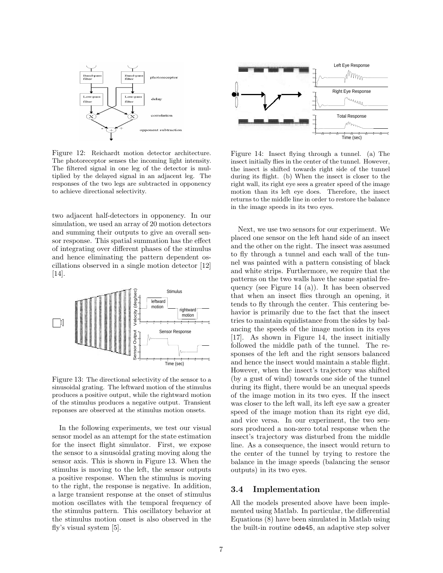

Figure 12: Reichardt motion detector architecture. The photoreceptor senses the incoming light intensity. The filtered signal in one leg of the detector is multiplied by the delayed signal in an adjacent leg. The responses of the two legs are subtracted in opponency to achieve directional selectivity.

two adjacent half-detectors in opponency. In our simulation, we used an array of 20 motion detectors and summing their outputs to give an overall sensor response. This spatial summation has the effect of integrating over different phases of the stimulus and hence eliminating the pattern dependent oscillations observed in a single motion detector [12] [14].



Figure 13: The directional selectivity of the sensor to a sinusoidal grating. The leftward motion of the stimulus produces a positive output, while the rightward motion of the stimulus produces a negative output. Transient reponses are observed at the stimulus motion onsets.

In the following experiments, we test our visual sensor model as an attempt for the state estimation for the insect flight simulator. First, we expose the sensor to a sinusoidal grating moving along the sensor axis. This is shown in Figure 13. When the stimulus is moving to the left, the sensor outputs a positive response. When the stimulus is moving to the right, the response is negative. In addition, a large transient response at the onset of stimulus motion oscillates with the temporal frequency of the stimulus pattern. This oscillatory behavior at the stimulus motion onset is also observed in the fly's visual system [5].



Figure 14: Insect flying through a tunnel. (a) The insect initially flies in the center of the tunnel. However, the insect is shifted towards right side of the tunnel during its flight. (b) When the insect is closer to the right wall, its right eye sees a greater speed of the image motion than its left eye does. Therefore, the insect returns to the middle line in order to restore the balance in the image speeds in its two eyes.

Next, we use two sensors for our experiment. We placed one sensor on the left hand side of an insect and the other on the right. The insect was assumed to fly through a tunnel and each wall of the tunnel was painted with a pattern consisting of black and white strips. Furthermore, we require that the patterns on the two walls have the same spatial frequency (see Figure 14 (a)). It has been observed that when an insect flies through an opening, it tends to fly through the center. This centering behavior is primarily due to the fact that the insect tries to maintain equidistance from the sides by balancing the speeds of the image motion in its eyes [17]. As shown in Figure 14, the insect initially followed the middle path of the tunnel. The responses of the left and the right sensors balanced and hence the insect would maintain a stable flight. However, when the insect's trajectory was shifted (by a gust of wind) towards one side of the tunnel during its flight, there would be an unequal speeds of the image motion in its two eyes. If the insect was closer to the left wall, its left eye saw a greater speed of the image motion than its right eye did, and vice versa. In our experiment, the two sensors produced a non-zero total response when the insect's trajectory was disturbed from the middle line. As a consequence, the insect would return to the center of the tunnel by trying to restore the balance in the image speeds (balancing the sensor outputs) in its two eyes.

#### 3.4 Implementation

All the models presented above have been implemented using Matlab. In particular, the differential Equations (8) have been simulated in Matlab using the built-in routine ode45, an adaptive step solver